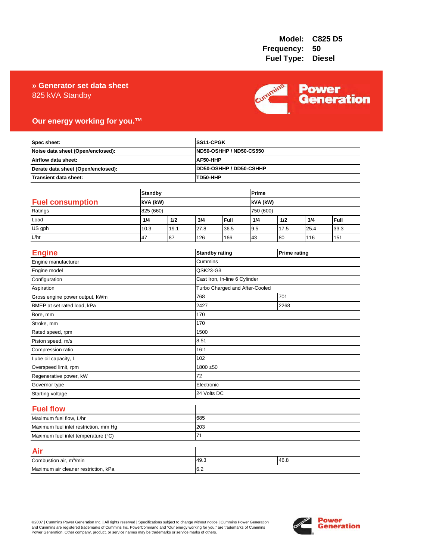### 825 kVA Standby **» Generator set data sheet**



### **Our energy working for you.™**

| Spec sheet:<br>Noise data sheet (Open/enclosed):<br>Airflow data sheet:<br>Derate data sheet (Open/enclosed): |                |      |          | SS11-CPGK<br><b>ND50-OSHHP / ND50-CS550</b> |           |      |                     |      |
|---------------------------------------------------------------------------------------------------------------|----------------|------|----------|---------------------------------------------|-----------|------|---------------------|------|
|                                                                                                               |                |      |          |                                             |           |      |                     |      |
|                                                                                                               |                |      | AF50-HHP |                                             |           |      |                     |      |
|                                                                                                               |                |      |          | DD50-OSHHP / DD50-CSHHP                     |           |      |                     |      |
| <b>Transient data sheet:</b>                                                                                  |                |      | TD50-HHP |                                             |           |      |                     |      |
|                                                                                                               | <b>Standby</b> |      |          |                                             | Prime     |      |                     |      |
| <b>Fuel consumption</b><br>kVA (kW)                                                                           |                |      |          | kVA (kW)                                    |           |      |                     |      |
| Ratings                                                                                                       | 825 (660)      |      |          |                                             | 750 (600) |      |                     |      |
| Load                                                                                                          | 1/4            | 1/2  | 3/4      | Full                                        | 1/4       | 1/2  | 3/4                 | Full |
| US gph                                                                                                        | 10.3           | 19.1 | 27.8     | 36.5                                        | 9.5       | 17.5 | 25.4                | 33.3 |
| L/hr                                                                                                          | 47             | 87   | 126      | 166                                         | 43        | 80   | 116                 | 151  |
|                                                                                                               |                |      |          |                                             |           |      |                     |      |
| <b>Engine</b>                                                                                                 |                |      |          | <b>Standby rating</b>                       |           |      | <b>Prime rating</b> |      |
| Engine manufacturer                                                                                           |                |      | Cummins  |                                             |           |      |                     |      |
| Engine model                                                                                                  |                |      | QSK23-G3 |                                             |           |      |                     |      |
| Configuration                                                                                                 |                |      |          | Cast Iron, In-line 6 Cylinder               |           |      |                     |      |
| Aspiration                                                                                                    |                |      |          | Turbo Charged and After-Cooled              |           |      |                     |      |
| Gross engine power output, kWm                                                                                |                |      | 768      | 701                                         |           |      |                     |      |
| BMEP at set rated load, kPa                                                                                   |                |      | 2427     | 2268                                        |           |      |                     |      |
| Bore, mm                                                                                                      |                |      | 170      |                                             |           |      |                     |      |
| Stroke, mm                                                                                                    |                |      | 170      |                                             |           |      |                     |      |
| Rated speed, rpm                                                                                              |                |      | 1500     |                                             |           |      |                     |      |
| Piston speed, m/s                                                                                             |                |      | 8.51     |                                             |           |      |                     |      |
| Compression ratio                                                                                             |                |      | 16:1     |                                             |           |      |                     |      |
| Lube oil capacity, L                                                                                          |                |      | 102      |                                             |           |      |                     |      |
| Overspeed limit, rpm                                                                                          |                |      |          | 1800 ±50                                    |           |      |                     |      |
| Regenerative power, kW                                                                                        |                |      | 72       |                                             |           |      |                     |      |
| Governor type                                                                                                 |                |      |          | Electronic                                  |           |      |                     |      |
| Starting voltage                                                                                              |                |      |          | 24 Volts DC                                 |           |      |                     |      |
| <b>Fuel flow</b>                                                                                              |                |      |          |                                             |           |      |                     |      |
| Maximum fuel flow, L/hr                                                                                       |                |      | 685      |                                             |           |      |                     |      |
| Maximum fuel inlet restriction, mm Hg                                                                         |                |      | 203      |                                             |           |      |                     |      |
| Maximum fuel inlet temperature (°C)                                                                           |                | 71   |          |                                             |           |      |                     |      |
| Air                                                                                                           |                |      |          |                                             |           |      |                     |      |
| Combustion air, m <sup>3</sup> /min                                                                           |                |      | 49.3     | 46.8                                        |           |      |                     |      |
| Maximum air cleaner restriction, kPa                                                                          |                |      | 6.2      |                                             |           |      |                     |      |

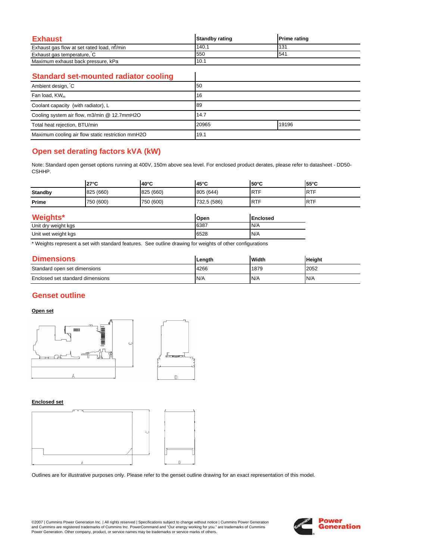| Exhaust                                   | <b>Standby rating</b> | <b>Prime rating</b> |
|-------------------------------------------|-----------------------|---------------------|
| Exhaust gas flow at set rated load, m/min | 140.                  | 131                 |
| Exhaust gas temperature, C                | 550                   | 541                 |
| Maximum exhaust back pressure, kPa        | 10.1                  |                     |

 $\overline{\phantom{a}}$ 

### **Standard set-mounted radiator cooling**

| Ambient design, C                                 | 50    |       |
|---------------------------------------------------|-------|-------|
| Fan load, KW <sub>m</sub>                         | 16    |       |
| Coolant capacity (with radiator), L               | 89    |       |
| Cooling system air flow, m3/min @ 12.7mmH2O       | 14.7  |       |
| Total heat rejection, BTU/min                     | 20965 | 19196 |
| Maximum cooling air flow static restriction mmH2O | 19.1  |       |

# **Open set derating factors kVA (kW)**

Note: Standard open genset options running at 400V, 150m above sea level. For enclosed product derates, please refer to datasheet - DD50- CSHHP.

|                                     | $27^{\circ}$ C | $40^{\circ}$ C | 45°C        | $50^{\circ}$ C | $55^{\circ}$ C |
|-------------------------------------|----------------|----------------|-------------|----------------|----------------|
| <b>Standby</b>                      | 825 (660)      | 825 (660)      | 805 (644)   | <b>RTF</b>     | <b>RTF</b>     |
| Prime                               | 750 (600)      | 750 (600)      | 732.5 (586) | <b>RTF</b>     | <b>RTF</b>     |
| Weights*<br>Open<br><b>Enclosed</b> |                |                |             |                |                |
| Unit dry weight kgs                 |                |                | 6387        | N/A            |                |

| Unit<br>: kas<br>weinht<br>wet<br>$\sim$ | 6528 | IN/A |
|------------------------------------------|------|------|
|                                          |      |      |

\* Weights represent a set with standard features. See outline drawing for weights of other configurations

| <b>Dimensions</b>                | Length | Width | <b>Height</b> |
|----------------------------------|--------|-------|---------------|
| Standard open set dimensions     | 4266   | 1879  | 2052          |
| Enclosed set standard dimensions | N/A    | N/A   | N/A           |

## **Genset outline**

### **Open set**



#### **Enclosed set**



Outlines are for illustrative purposes only. Please refer to the genset outline drawing for an exact representation of this model.

©2007 | Cummins Power Generation Inc. | All rights reserved | Specifications subject to change without notice | Cummins Power Generation and Cummins are registered trademarks of Cummins Inc. PowerCommand and "Our energy working for you." are trademarks of Cummins<br>Power Generation. Other company, product, or service names may be trademarks or service marks o